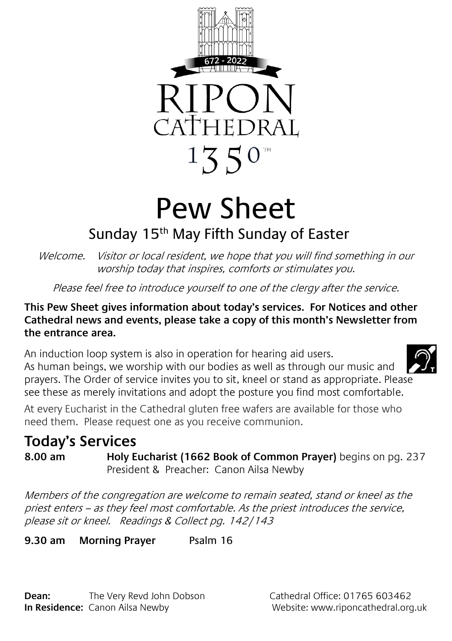

# Pew Sheet

## Sunday 15<sup>th</sup> May Fifth Sunday of Easter

Welcome. Visitor or local resident, we hope that you will find something in our worship today that inspires, comforts or stimulates you.

Please feel free to introduce yourself to one of the clergy after the service.

#### **This Pew Sheet gives information about today's services. For Notices and other Cathedral news and events, please take a copy of this month's Newsletter from the entrance area.**

An induction loop system is also in operation for hearing aid users. As human beings, we worship with our bodies as well as through our music and prayers. The Order of service invites you to sit, kneel or stand as appropriate. Please see these as merely invitations and adopt the posture you find most comfortable.

At every Eucharist in the Cathedral gluten free wafers are available for those who need them. Please request one as you receive communion.

### **Today's Services**

**8.00 am Holy Eucharist (1662 Book of Common Prayer)** begins on pg. 237 President & Preacher: Canon Ailsa Newby

Members of the congregation are welcome to remain seated, stand or kneel as the priest enters – as they feel most comfortable. As the priest introduces the service, please sit or kneel. Readings & Collect pg. 142/143

**9.30 am Morning Prayer** Psalm 16

**Dean:** The Very Revd John Dobson Cathedral Office: 01765 603462 **In Residence:** Canon Ailsa Newby Website: www.riponcathedral.org.uk